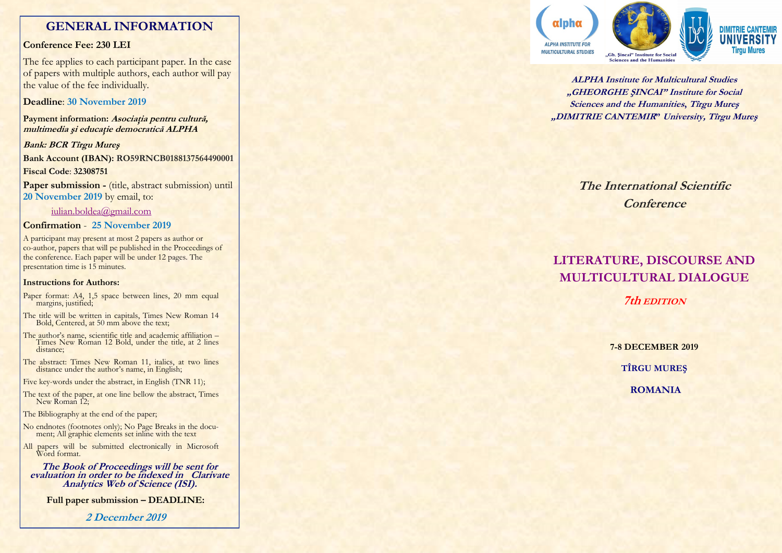## **GENERAL INFORMATION**

## **Conference Fee: 230 LEI**

The fee applies to each participant paper. In the case of papers with multiple authors, each author will pay the value of the fee individually.

## **Deadline**: **30 November 2019**

**Payment information: Asociaţia pentru cultură, multimedia şi educaţie democratică ALPHA**

**Bank: BCR Tîrgu Mureş Bank Account (IBAN): RO59RNCB0188137564490001 Fiscal Code**: **32308751 Paper submission -** (title, abstract submission) until

**20 November 2019** by email, to:

## iulian.boldea@gmail.com

## **Confirmation** - **25 November 2019**

A participant may present at most 2 papers as author or co -author, papers that will pe published in the Proceedings of the conference. Each paper will be under 12 pages. The presentation time is 15 minutes.

### **Instructions for Authors:**

- Paper format: A4, 1,5 space between lines, 20 mm equal margins, justified;
- The title will be written in capitals, Times New Roman 14 Bold, Centered, at 50 mm above the text;
- The author's name, scientific title and academic affiliation Times New Roman 12 Bold, under the title, at 2 lines distance;
- The abstract: Times New Roman 11, italics, at two lines distance under the author's name, in English;
- Five key -words under the abstract, in English (TNR 11);
- The text of the paper, at one line bellow the abstract, Times New Roman 12;

The Bibliography at the end of the paper;

- No endnotes (footnotes only); No Page Breaks in the document; All graphic elements set inline with the text
- All papers will be submitted electronically in Microsoft Word format.

**The Book of Proceedings will be sent for evaluation in order to be indexed in Clarivate Analytics Web of Science (ISI).**

**Full paper submission – DEADLINE:** 

**2 December 2019**



**ALPHA Institute for Multicultural Studies "GHEORGHE ŞINCAI" Institute for Social Sciences and the Humanities, Tîrgu Mureş "DIMITRIE CANTEMIR" University, Tîrgu Mureş**

> **The International Scientific Conference**

# **LITERATURE, DISCOURSE AND MULTICULTURAL DIALOGUE**

**7th EDITION**

**7 -8 DECEMBER 2019 TÎRGU MUREŞ ROMANIA**